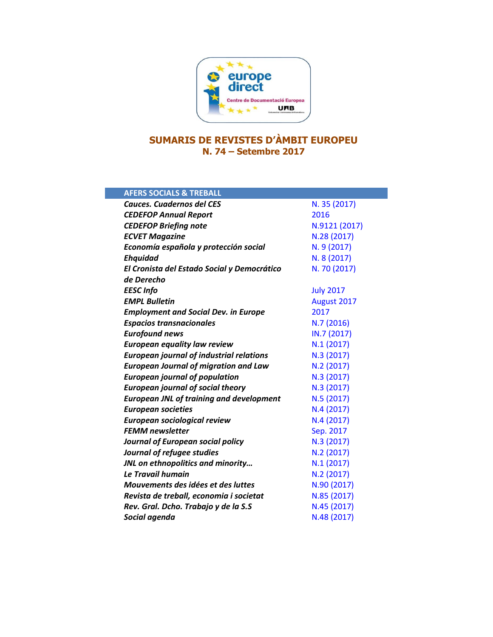

## **SUMARIS DE REVISTES D'ÀMBIT EUROPEU N. 74 – Setembre 2017**

| <b>AFERS SOCIALS &amp; TREBALL</b>              |                  |
|-------------------------------------------------|------------------|
| <b>Cauces. Cuadernos del CES</b>                | N. 35 (2017)     |
| <b>CEDEFOP Annual Report</b>                    | 2016             |
| <b>CEDEFOP Briefing note</b>                    | N.9121 (2017)    |
| <b>ECVET Magazine</b>                           | N.28 (2017)      |
| Economía española y protección social           | N. 9 (2017)      |
| <b>Ehquidad</b>                                 | N. 8 (2017)      |
| El Cronista del Estado Social y Democrático     | N. 70 (2017)     |
| de Derecho                                      |                  |
| <b>EESC</b> Info                                | <b>July 2017</b> |
| <b>EMPL Bulletin</b>                            | August 2017      |
| <b>Employment and Social Dev. in Europe</b>     | 2017             |
| <b>Espacios transnacionales</b>                 | N.7 (2016)       |
| <b>Eurofound news</b>                           | IN.7 (2017)      |
| <b>European equality law review</b>             | N.1(2017)        |
| <b>European journal of industrial relations</b> | N.3 (2017)       |
| <b>European Journal of migration and Law</b>    | N.2 (2017)       |
| <b>European journal of population</b>           | N.3 (2017)       |
| <b>European journal of social theory</b>        | N.3 (2017)       |
| <b>European JNL of training and development</b> | N.5 (2017)       |
| <b>European societies</b>                       | N.4 (2017)       |
| European sociological review                    | N.4(2017)        |
| <b>FEMM</b> newsletter                          | Sep. 2017        |
| Journal of European social policy               | N.3 (2017)       |
| Journal of refugee studies                      | N.2 (2017)       |
| JNL on ethnopolitics and minority               | N.1(2017)        |
| Le Travail humain                               | N.2 (2017)       |
| Mouvements des idées et des luttes              | N.90 (2017)      |
| Revista de treball, economia i societat         | N.85 (2017)      |
| Rev. Gral. Dcho. Trabajo y de la S.S            | N.45 (2017)      |
| Social agenda                                   | N.48 (2017)      |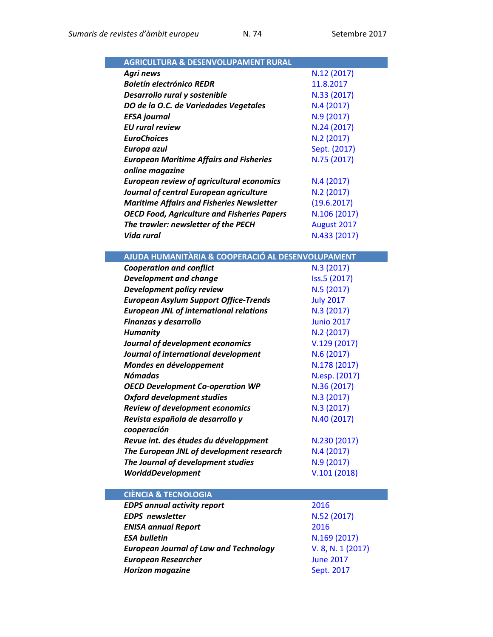| <b>AGRICULTURA &amp; DESENVOLUPAMENT RURAL</b>     |              |
|----------------------------------------------------|--------------|
| Agri news                                          | N.12 (2017)  |
| <b>Boletín electrónico REDR</b>                    | 11.8.2017    |
| Desarrollo rural y sostenible                      | N.33 (2017)  |
| DO de la O.C. de Variedades Vegetales              | N.4(2017)    |
| <b>EFSA</b> journal                                | N.9 (2017)   |
| <b>EU</b> rural review                             | N.24 (2017)  |
| <b>EuroChoices</b>                                 | N.2(2017)    |
| Europa azul                                        | Sept. (2017) |
| <b>European Maritime Affairs and Fisheries</b>     | N.75 (2017)  |
| online magazine                                    |              |
| <b>European review of agricultural economics</b>   | N.4(2017)    |
| Journal of central European agriculture            | N.2(2017)    |
| <b>Maritime Affairs and Fisheries Newsletter</b>   | (19.6.2017)  |
| <b>OECD Food, Agriculture and Fisheries Papers</b> | N.106 (2017) |
| The trawler: newsletter of the PECH                | August 2017  |
| Vida rural                                         | N.433 (2017) |

| AJUDA HUMANITÀRIA & COOPERACIÓ AL DESENVOLUPAMENT |                   |
|---------------------------------------------------|-------------------|
| <b>Cooperation and conflict</b>                   | N.3 (2017)        |
| <b>Development and change</b>                     | Iss.5 (2017)      |
| Development policy review                         | N.5 (2017)        |
| <b>European Asylum Support Office-Trends</b>      | <b>July 2017</b>  |
| <b>European JNL of international relations</b>    | N.3 (2017)        |
| Finanzas y desarrollo                             | <b>Junio 2017</b> |
| <b>Humanity</b>                                   | N.2 (2017)        |
| Journal of development economics                  | V.129(2017)       |
| Journal of international development              | N.6 (2017)        |
| Mondes en développement                           | N.178 (2017)      |
| <b>Nómadas</b>                                    | N.esp. (2017)     |
| <b>OECD Development Co-operation WP</b>           | N.36 (2017)       |
| <b>Oxford development studies</b>                 | N.3 (2017)        |
| <b>Review of development economics</b>            | N.3 (2017)        |
| Revista española de desarrollo y                  | N.40 (2017)       |
| cooperación                                       |                   |
| Revue int. des études du développment             | N.230 (2017)      |
| The European JNL of development research          | N.4 (2017)        |
| The Journal of development studies                | N.9 (2017)        |
| <b>WorlddDevelopment</b>                          | V.101(2018)       |
|                                                   |                   |
| <b>CIÈNCIA &amp; TECNOLOGIA</b>                   |                   |
| <b>EDPS annual activity report</b>                | 2016              |
| <b>EDPS</b> newsletter                            | N.52 (2017)       |
| <b>ENISA annual Report</b>                        | 2016              |
| <b>ESA bulletin</b>                               | N.169 (2017)      |
| <b>European Journal of Law and Technology</b>     | V. 8, N. 1 (2017) |
| <b>European Researcher</b>                        | <b>June 2017</b>  |
| <b>Horizon magazine</b>                           | Sept. 2017        |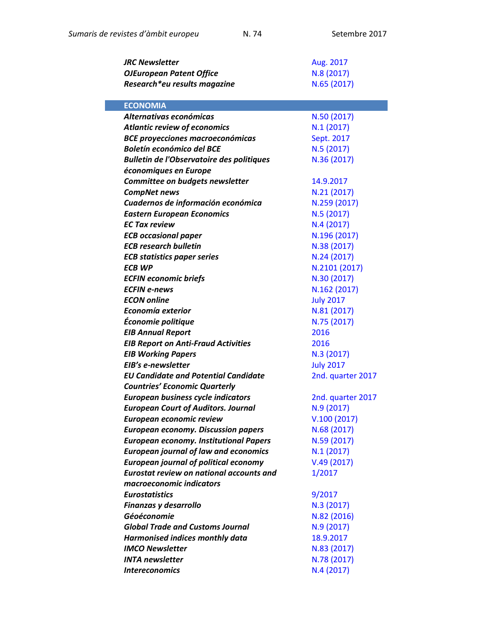| <b>JRC Newsletter</b>                            | Aug. 2017         |
|--------------------------------------------------|-------------------|
| <b>OJEuropean Patent Office</b>                  | N.8 (2017)        |
| Research*eu results magazine                     | N.65 (2017)       |
|                                                  |                   |
| <b>ECONOMIA</b>                                  |                   |
| Alternativas económicas                          | N.50 (2017)       |
| <b>Atlantic review of economics</b>              | N.1(2017)         |
| <b>BCE proyecciones macroeconómicas</b>          | Sept. 2017        |
| <b>Boletín económico del BCE</b>                 | N.5 (2017)        |
| <b>Bulletin de l'Observatoire des politiques</b> | N.36 (2017)       |
| économiques en Europe                            |                   |
| Committee on budgets newsletter                  | 14.9.2017         |
| <b>CompNet news</b>                              | N.21 (2017)       |
| Cuadernos de información económica               | N.259 (2017)      |
| <b>Eastern European Economics</b>                | N.5 (2017)        |
| <b>EC Tax review</b>                             | N.4(2017)         |
| <b>ECB occasional paper</b>                      | N.196 (2017)      |
| <b>ECB research bulletin</b>                     | N.38 (2017)       |
| <b>ECB statistics paper series</b>               | N.24 (2017)       |
| ECB WP                                           | N.2101 (2017)     |
| <b>ECFIN economic briefs</b>                     | N.30 (2017)       |
| <b>ECFIN e-news</b>                              | N.162 (2017)      |
| <b>ECON online</b>                               | <b>July 2017</b>  |
| Economía exterior                                | N.81 (2017)       |
| Économie politique                               | N.75 (2017)       |
| <b>EIB Annual Report</b>                         | 2016              |
| <b>EIB Report on Anti-Fraud Activities</b>       | 2016              |
| <b>EIB Working Papers</b>                        | N.3(2017)         |
| EIB's e-newsletter                               | <b>July 2017</b>  |
| <b>EU Candidate and Potential Candidate</b>      | 2nd. quarter 2017 |
| <b>Countries' Economic Quarterly</b>             |                   |
| <b>European business cycle indicators</b>        | 2nd. quarter 2017 |
| <b>European Court of Auditors. Journal</b>       | N.9 (2017)        |
| European economic review                         | V.100(2017)       |
| <b>European economy. Discussion papers</b>       | N.68 (2017)       |
| <b>European economy. Institutional Papers</b>    | N.59 (2017)       |
| <b>European journal of law and economics</b>     | N.1(2017)         |
| <b>European journal of political economy</b>     | V.49(2017)        |
| <b>Eurostat review on national accounts and</b>  | 1/2017            |
| macroeconomic indicators                         |                   |
| <b>Eurostatistics</b>                            | 9/2017            |
| Finanzas y desarrollo                            | N.3 (2017)        |
| Géoéconomie                                      | N.82 (2016)       |
| <b>Global Trade and Customs Journal</b>          | N.9 (2017)        |
| Harmonised indices monthly data                  | 18.9.2017         |
| <b>IMCO Newsletter</b>                           | N.83 (2017)       |
| <b>INTA newsletter</b>                           | N.78 (2017)       |
| <b>Intereconomics</b>                            | N.4 (2017)        |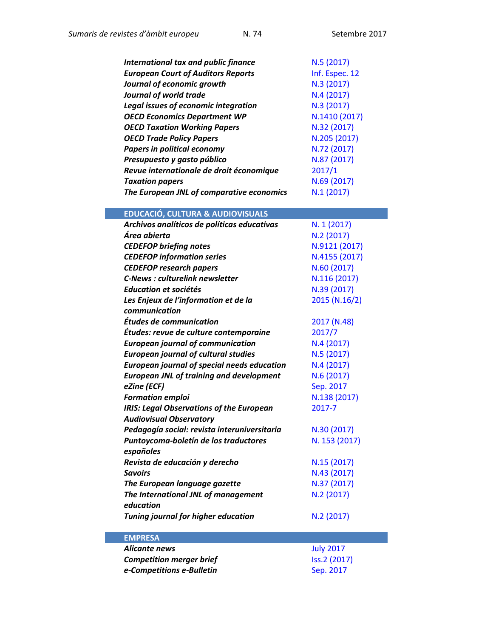| International tax and public finance<br><b>European Court of Auditors Reports</b><br>Journal of economic growth<br><b>Journal of world trade</b><br><b>Legal issues of economic integration</b><br><b>OECD Economics Department WP</b><br><b>OECD Taxation Working Papers</b><br><b>OECD Trade Policy Papers</b> | N.5(2017)<br>Inf. Espec. 12<br>N.3 (2017)<br>N.4(2017)<br>N.3 (2017)<br>N.1410 (2017)<br>N.32 (2017)<br>N.205 (2017) |
|------------------------------------------------------------------------------------------------------------------------------------------------------------------------------------------------------------------------------------------------------------------------------------------------------------------|----------------------------------------------------------------------------------------------------------------------|
| <b>Papers in political economy</b>                                                                                                                                                                                                                                                                               | N.72 (2017)                                                                                                          |
| Presupuesto y gasto público                                                                                                                                                                                                                                                                                      | N.87 (2017)                                                                                                          |
| Revue internationale de droit économique                                                                                                                                                                                                                                                                         | 2017/1                                                                                                               |
| <b>Taxation papers</b>                                                                                                                                                                                                                                                                                           | N.69 (2017)                                                                                                          |
| The European JNL of comparative economics                                                                                                                                                                                                                                                                        | N.1(2017)                                                                                                            |
| <b>EDUCACIÓ, CULTURA &amp; AUDIOVISUALS</b>                                                                                                                                                                                                                                                                      |                                                                                                                      |
| Archivos analíticos de políticas educativas                                                                                                                                                                                                                                                                      | N. 1 (2017)                                                                                                          |
| Área abierta                                                                                                                                                                                                                                                                                                     | N.2(2017)                                                                                                            |
| <b>CEDEFOP briefing notes</b>                                                                                                                                                                                                                                                                                    | N.9121 (2017)                                                                                                        |
| <b>CEDEFOP information series</b>                                                                                                                                                                                                                                                                                | N.4155 (2017)                                                                                                        |
| <b>CEDEFOP research papers</b>                                                                                                                                                                                                                                                                                   | N.60 (2017)                                                                                                          |
| <b>C-News: culturelink newsletter</b>                                                                                                                                                                                                                                                                            | N.116 (2017)                                                                                                         |
| <b>Education et sociétés</b>                                                                                                                                                                                                                                                                                     | N.39 (2017)                                                                                                          |
| Les Enjeux de l'information et de la                                                                                                                                                                                                                                                                             | 2015 (N.16/2)                                                                                                        |
| communication                                                                                                                                                                                                                                                                                                    |                                                                                                                      |
| Études de communication                                                                                                                                                                                                                                                                                          | 2017 (N.48)                                                                                                          |
| Études: revue de culture contemporaine                                                                                                                                                                                                                                                                           | 2017/7                                                                                                               |
| <b>European journal of communication</b>                                                                                                                                                                                                                                                                         | N.4(2017)                                                                                                            |
| <b>European journal of cultural studies</b>                                                                                                                                                                                                                                                                      | N.5(2017)                                                                                                            |
| <b>European journal of special needs education</b>                                                                                                                                                                                                                                                               | N.4(2017)                                                                                                            |
| <b>European JNL of training and development</b>                                                                                                                                                                                                                                                                  | N.6 (2017)                                                                                                           |
| eZine (ECF)                                                                                                                                                                                                                                                                                                      | Sep. 2017                                                                                                            |
| <b>Formation emploi</b>                                                                                                                                                                                                                                                                                          | N.138 (2017)                                                                                                         |
| <b>IRIS: Legal Observations of the European</b>                                                                                                                                                                                                                                                                  | 2017-7                                                                                                               |
| <b>Audiovisual Observatory</b>                                                                                                                                                                                                                                                                                   |                                                                                                                      |
| Pedagogía social: revista interuniversitaria                                                                                                                                                                                                                                                                     | N.30 (2017)                                                                                                          |
| Puntoycoma-boletín de los traductores                                                                                                                                                                                                                                                                            | N. 153 (2017)                                                                                                        |
| españoles                                                                                                                                                                                                                                                                                                        |                                                                                                                      |
| Revista de educación y derecho                                                                                                                                                                                                                                                                                   | N.15 (2017)                                                                                                          |
| <b>Savoirs</b>                                                                                                                                                                                                                                                                                                   | N.43 (2017)                                                                                                          |
| The European language gazette                                                                                                                                                                                                                                                                                    | N.37 (2017)                                                                                                          |
| The International JNL of management                                                                                                                                                                                                                                                                              | N.2 (2017)                                                                                                           |
| education                                                                                                                                                                                                                                                                                                        |                                                                                                                      |
| <b>Tuning journal for higher education</b>                                                                                                                                                                                                                                                                       | N.2 (2017)                                                                                                           |
|                                                                                                                                                                                                                                                                                                                  |                                                                                                                      |
| <b>EMPRESA</b>                                                                                                                                                                                                                                                                                                   |                                                                                                                      |
| <b>Alicante news</b>                                                                                                                                                                                                                                                                                             | <b>July 2017</b>                                                                                                     |
| <b>Competition merger brief</b>                                                                                                                                                                                                                                                                                  | Iss.2 (2017)                                                                                                         |
| e-Competitions e-Bulletin                                                                                                                                                                                                                                                                                        | Sep. 2017                                                                                                            |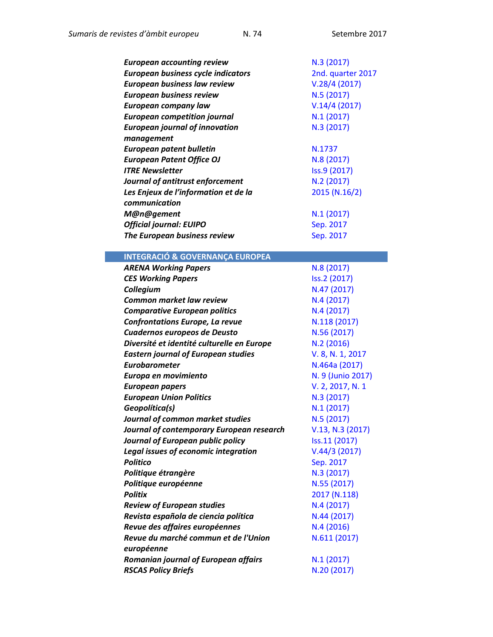| <b>European accounting review</b>     | N.3(2017)         |
|---------------------------------------|-------------------|
| European business cycle indicators    | 2nd. quarter 2017 |
| <b>European business law review</b>   | V.28/4(2017)      |
| <b>European business review</b>       | N.5(2017)         |
| <b>European company law</b>           | V.14/4(2017)      |
| <b>European competition journal</b>   | N.1(2017)         |
| <b>European journal of innovation</b> | N.3(2017)         |
| management                            |                   |
| European patent bulletin              | N.1737            |
| <b>European Patent Office OJ</b>      | N.8(2017)         |
| <b>ITRE Newsletter</b>                | Iss.9 (2017)      |
| Journal of antitrust enforcement      | N.2(2017)         |
| Les Enjeux de l'information et de la  | 2015 (N.16/2)     |
| communication                         |                   |
| M@n@gement                            | N.1(2017)         |
| <b>Official journal: EUIPO</b>        | Sep. 2017         |
| The European business review          | Sep. 2017         |
|                                       |                   |

## **INTEGRACIÓ & GOVERNANÇA EUROPEA**

| <b>ARENA Working Papers</b>                 | N.8 (2017)        |
|---------------------------------------------|-------------------|
| <b>CES Working Papers</b>                   | Iss.2 (2017)      |
| Collegium                                   | N.47 (2017)       |
| <b>Common market law review</b>             | N.4(2017)         |
| <b>Comparative European politics</b>        | N.4(2017)         |
| <b>Confrontations Europe, La revue</b>      | N.118 (2017)      |
| Cuadernos europeos de Deusto                | N.56 (2017)       |
| Diversité et identité culturelle en Europe  | N.2(2016)         |
| <b>Eastern journal of European studies</b>  | V. 8, N. 1, 2017  |
| <b>Eurobarometer</b>                        | N.464a (2017)     |
| Europa en movimiento                        | N. 9 (Junio 2017) |
| <b>European papers</b>                      | V. 2, 2017, N. 1  |
| <b>European Union Politics</b>              | N.3(2017)         |
| Geopolítica(s)                              | N.1(2017)         |
| Journal of common market studies            | N.5 (2017)        |
| Journal of contemporary European research   | V.13, N.3 (2017)  |
| Journal of European public policy           | Iss.11 (2017)     |
| <b>Legal issues of economic integration</b> | V.44/3(2017)      |
| <b>Politico</b>                             | Sep. 2017         |
| Politique étrangère                         | N.3 (2017)        |
| Politique européenne                        | N.55 (2017)       |
| <b>Politix</b>                              | 2017 (N.118)      |
| <b>Review of European studies</b>           | N.4(2017)         |
| Revista española de ciencia política        | N.44 (2017)       |
| Revue des affaires européennes              | N.4(2016)         |
| Revue du marché commun et de l'Union        | N.611 (2017)      |
| européenne                                  |                   |
| Romanian journal of European affairs        | N.1(2017)         |
| <b>RSCAS Policy Briefs</b>                  | N.20 (2017)       |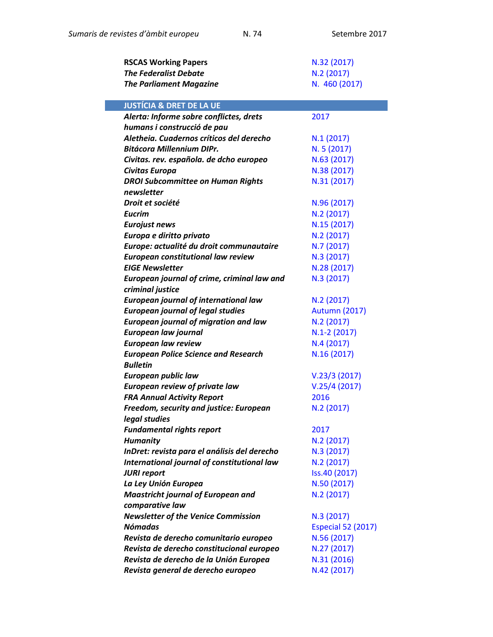| <b>RSCAS Working Papers</b>                  | N.32 (2017)               |
|----------------------------------------------|---------------------------|
| <b>The Federalist Debate</b>                 | N.2 (2017)                |
| <b>The Parliament Magazine</b>               | N. 460 (2017)             |
|                                              |                           |
| <b>JUSTÍCIA &amp; DRET DE LA UE</b>          |                           |
| Alerta: Informe sobre conflictes, drets      | 2017                      |
| humans i construcció de pau                  |                           |
| Aletheia. Cuadernos críticos del derecho     | N.1(2017)                 |
| <b>Bitácora Millennium DIPr.</b>             | N. 5 (2017)               |
| Civitas. rev. española. de dcho europeo      | N.63 (2017)               |
| Civitas Europa                               | N.38 (2017)               |
| <b>DROI Subcommittee on Human Rights</b>     | N.31 (2017)               |
| newsletter                                   |                           |
| Droit et société                             | N.96 (2017)               |
| <b>Eucrim</b>                                | N.2 (2017)                |
| <b>Eurojust news</b>                         | N.15 (2017)               |
| Europa e diritto privato                     | N.2 (2017)                |
| Europe: actualité du droit communautaire     | N.7 (2017)                |
| <b>European constitutional law review</b>    | N.3 (2017)                |
| <b>EIGE Newsletter</b>                       | N.28 (2017)               |
| European journal of crime, criminal law and  | N.3 (2017)                |
| criminal justice                             |                           |
| <b>European journal of international law</b> | N.2(2017)                 |
| <b>European journal of legal studies</b>     | <b>Autumn (2017)</b>      |
| <b>European journal of migration and law</b> | N.2 (2017)                |
| European law journal                         | $N.1-2(2017)$             |
| <b>European law review</b>                   | N.4(2017)                 |
| <b>European Police Science and Research</b>  | N.16(2017)                |
| <b>Bulletin</b>                              |                           |
| <b>European public law</b>                   | V.23/3(2017)              |
| <b>European review of private law</b>        | V.25/4(2017)              |
| <b>FRA Annual Activity Report</b>            | 2016                      |
| Freedom, security and justice: European      | N.2 (2017)                |
| legal studies                                |                           |
| <b>Fundamental rights report</b>             | 2017                      |
| <b>Humanity</b>                              | N.2(2017)                 |
| InDret: revista para el análisis del derecho | N.3 (2017)                |
| International journal of constitutional law  | N.2(2017)                 |
| <b>JURI report</b>                           | Iss.40 (2017)             |
| La Ley Unión Europea                         | N.50 (2017)               |
| <b>Maastricht journal of European and</b>    | N.2(2017)                 |
| comparative law                              |                           |
| <b>Newsletter of the Venice Commission</b>   | N.3 (2017)                |
| <b>Nómadas</b>                               | <b>Especial 52 (2017)</b> |
| Revista de derecho comunitario europeo       | N.56 (2017)               |
| Revista de derecho constitucional europeo    | N.27 (2017)               |
| Revista de derecho de la Unión Europea       | N.31 (2016)               |
| Revista general de derecho europeo           | N.42 (2017)               |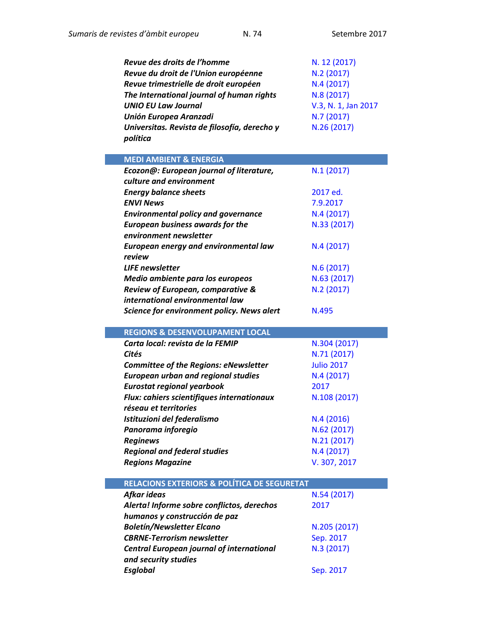*and security studies* 

| Revue des droits de l'homme                  | N. 12 (2017)        |
|----------------------------------------------|---------------------|
| Revue du droit de l'Union européenne         | N.2(2017)           |
| Revue trimestrielle de droit européen        | N.4(2017)           |
| The International journal of human rights    | N.8 (2017)          |
| <b>UNIO EU Law Journal</b>                   | V.3, N. 1, Jan 2017 |
| <b>Unión Europea Aranzadi</b>                | N.7(2017)           |
| Universitas. Revista de filosofía, derecho y | N.26 (2017)         |
| política                                     |                     |

| <b>MEDI AMBIENT &amp; ENERGIA</b>                |                   |
|--------------------------------------------------|-------------------|
| Ecozon@: European journal of literature,         | N.1 (2017)        |
| culture and environment                          |                   |
| <b>Energy balance sheets</b>                     | 2017 ed.          |
| <b>ENVI News</b>                                 | 7.9.2017          |
| <b>Environmental policy and governance</b>       | N.4(2017)         |
| <b>European business awards for the</b>          | N.33 (2017)       |
| environment newsletter                           |                   |
| <b>European energy and environmental law</b>     | N.4(2017)         |
| review                                           |                   |
| <b>LIFE</b> newsletter                           | N.6 (2017)        |
| Medio ambiente para los europeos                 | N.63 (2017)       |
| Review of European, comparative &                | N.2 (2017)        |
| international environmental law                  |                   |
| Science for environment policy. News alert       | N.495             |
|                                                  |                   |
| <b>REGIONS &amp; DESENVOLUPAMENT LOCAL</b>       |                   |
| Carta local: revista de la FEMIP                 | N.304 (2017)      |
| Cités                                            | N.71 (2017)       |
| <b>Committee of the Regions: eNewsletter</b>     | <b>Julio 2017</b> |
| <b>European urban and regional studies</b>       | N.4 (2017)        |
| <b>Eurostat regional yearbook</b>                | 2017              |
| Flux: cahiers scientifiques internationaux       | N.108 (2017)      |
| réseau et territories                            |                   |
| Istituzioni del federalismo                      | N.4(2016)         |
| Panorama inforegio                               | N.62 (2017)       |
| <b>Reginews</b>                                  | N.21 (2017)       |
| <b>Regional and federal studies</b>              | N.4(2017)         |
| <b>Regions Magazine</b>                          | V. 307, 2017      |
|                                                  |                   |
| RELACIONS EXTERIORS & POLÍTICA DE SEGURETAT      |                   |
| Afkar ideas                                      | N.54 (2017)       |
| Alerta! Informe sobre conflictos, derechos       | 2017              |
| humanos y construcción de paz                    |                   |
| <b>Boletín/Newsletter Elcano</b>                 | N.205 (2017)      |
| <b>CBRNE-Terrorism newsletter</b>                | Sep. 2017         |
| <b>Central European journal of international</b> | N.3 (2017)        |

**Sep. [2017](https://www.esglobal.org/2017/09/)**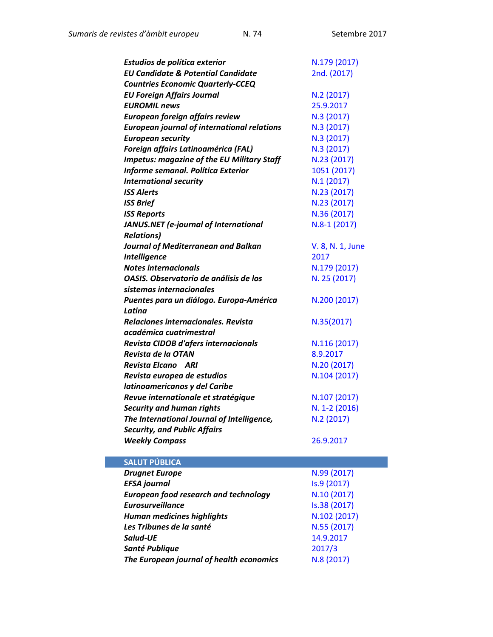| Estudios de política exterior                      | N.179 (2017)     |
|----------------------------------------------------|------------------|
| <b>EU Candidate &amp; Potential Candidate</b>      | 2nd. (2017)      |
| <b>Countries Economic Quarterly-CCEQ</b>           |                  |
| <b>EU Foreign Affairs Journal</b>                  | N.2 (2017)       |
| <b>EUROMIL news</b>                                | 25.9.2017        |
| European foreign affairs review                    | N.3 (2017)       |
| <b>European journal of international relations</b> | N.3 (2017)       |
| <b>European security</b>                           | N.3 (2017)       |
| Foreign affairs Latinoamérica (FAL)                | N.3 (2017)       |
| <b>Impetus: magazine of the EU Military Staff</b>  | N.23 (2017)      |
| Informe semanal. Política Exterior                 | 1051 (2017)      |
| <b>International security</b>                      | N.1(2017)        |
| <b>ISS Alerts</b>                                  | N.23 (2017)      |
| <b>ISS Brief</b>                                   | N.23 (2017)      |
| <b>ISS Reports</b>                                 | N.36 (2017)      |
| JANUS.NET (e-journal of International              | $N.8-1(2017)$    |
| <b>Relations)</b>                                  |                  |
| Journal of Mediterranean and Balkan                | V. 8, N. 1, June |
| <b>Intelligence</b>                                | 2017             |
| Notes internacionals                               | N.179 (2017)     |
| OASIS. Observatorio de análisis de los             | N. 25 (2017)     |
| sistemas internacionales                           |                  |
| Puentes para un diálogo. Europa-América            | N.200 (2017)     |
| Latina                                             |                  |
| Relaciones internacionales. Revista                | N.35(2017)       |
| académica cuatrimestral                            |                  |
| Revista CIDOB d'afers internacionals               | N.116 (2017)     |
| Revista de la OTAN                                 | 8.9.2017         |
| Revista Elcano ARI                                 | N.20 (2017)      |
| Revista europea de estudios                        | N.104 (2017)     |
| latinoamericanos y del Caribe                      |                  |
| Revue internationale et stratégique                | N.107 (2017)     |
| <b>Security and human rights</b>                   | N. 1-2 (2016)    |
| The International Journal of Intelligence,         | N.2 (2017)       |
| <b>Security, and Public Affairs</b>                |                  |
| <b>Weekly Compass</b>                              | 26.9.2017        |
|                                                    |                  |

| <b>SALUT PÚBLICA</b>                         |              |
|----------------------------------------------|--------------|
| <b>Drugnet Europe</b>                        | N.99 (2017)  |
| <b>EFSA journal</b>                          | Is.9 (2017)  |
| <b>European food research and technology</b> | N.10(2017)   |
| <b>Eurosurveillance</b>                      | Is.38 (2017) |
| <b>Human medicines highlights</b>            | N.102 (2017) |
| Les Tribunes de la santé                     | N.55 (2017)  |
| Salud-UE                                     | 14.9.2017    |
| Santé Publique                               | 2017/3       |
| The European journal of health economics     | N.8 (2017)   |